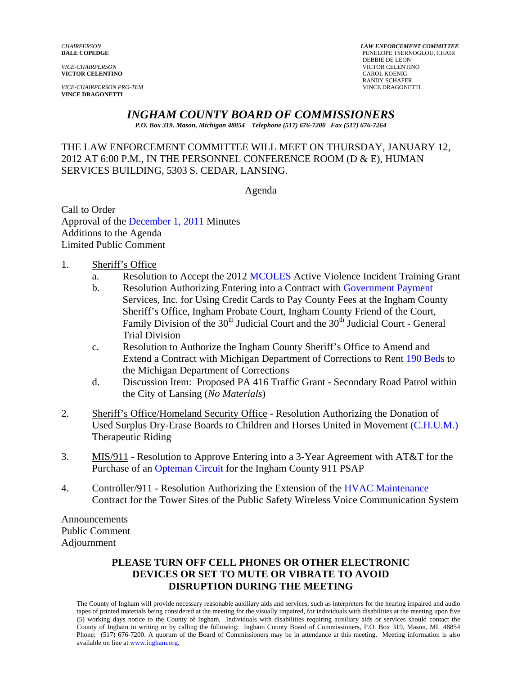*VICE-CHAIRPERSON* VICTOR CELENTINO **VICTOR CELENTINO** 

**VICE-CHAIRPERSON PRO-TEM VINCE DRAGONETTI** 

*CHAIRPERSON LAW ENFORCEMENT COMMITTEE* **PENELOPE TSERNOGLOU, CHAIR<br>DEBBIE DE LEON DEBBIE DE LEON** RANDY SCHAFER<br>VINCE DRAGONETTI

# *INGHAM COUNTY BOARD OF COMMISSIONERS*

*P.O. Box 319. Mason, Michigan 48854 Telephone (517) 676-7200 Fax (517) 676-7264*

THE LAW ENFORCEMENT COMMITTEE WILL MEET ON THURSDAY, JANUARY 12, 2012 AT 6:00 P.M., IN THE PERSONNEL CONFERENCE ROOM (D & E), HUMAN SERVICES BUILDING, 5303 S. CEDAR, LANSING.

Agenda

Call to Order Approval of [the December 1, 2011 Minutes](#page-1-0)  Additions to the Agenda Limited Public Comment

1. Sheriff's Office

- a. Resolution to Accept the 20[12 MCOLES Act](#page-7-0)ive Violence Incident Training Grant
- b. Resolution Authorizing Entering into a Contract with Government Payment Services, Inc. for Using Credit Cards to Pay Count[y Fees at the Ingham County](#page-9-0)  Sheriff's Office, Ingham Probate Court, Ingham County Friend of the Court, Family Division of the  $30<sup>th</sup>$  Judicial Court and the  $30<sup>th</sup>$  Judicial Court - General Trial Division
- c. Resolution to Authorize the Ingham County Sheriff's Office to Amend and Extend a Contract with Michigan Department of Corrections to [Rent 190 Beds to](#page-11-0)  the Michigan Department of Corrections
- d. Discussion Item: Proposed PA 416 Traffic Grant Secondary Road Patrol within the City of Lansing (*No Materials*)
- 2. Sheriff's Office/Homeland Security Office Resolution Authorizing the Donation of Used Surplus Dry-Erase Boards to Children and Horses United in Movem[ent \(C.H.U.M.\)](#page-13-0)  Therapeutic Riding
- 3. MIS/911 Resolution to Approve Entering into a 3-Year Agreement with AT&T for the Purchase o[f an Opteman Circuit for the Ing](#page-15-0)ham County 911 PSAP
- 4. Controller/911 Resolution Authorizing the Extension of the HVAC Maintenance Contract for the Tower Sites of the Public Safety Wireless [Voice Communication System](#page-17-0)

Announcements Public Comment Adjournment

### **PLEASE TURN OFF CELL PHONES OR OTHER ELECTRONIC DEVICES OR SET TO MUTE OR VIBRATE TO AVOID DISRUPTION DURING THE MEETING**

The County of Ingham will provide necessary reasonable auxiliary aids and services, such as interpreters for the hearing impaired and audio tapes of printed materials being considered at the meeting for the visually impaired, for individuals with disabilities at the meeting upon five (5) working days notice to the County of Ingham. Individuals with disabilities requiring auxiliary aids or services should contact the County of Ingham in writing or by calling the following: Ingham County Board of Commissioners, P.O. Box 319, Mason, MI 48854 Phone: (517) 676-7200. A quorum of the Board of Commissioners may be in attendance at this meeting. Meeting information is also available on line at www.ingham.org.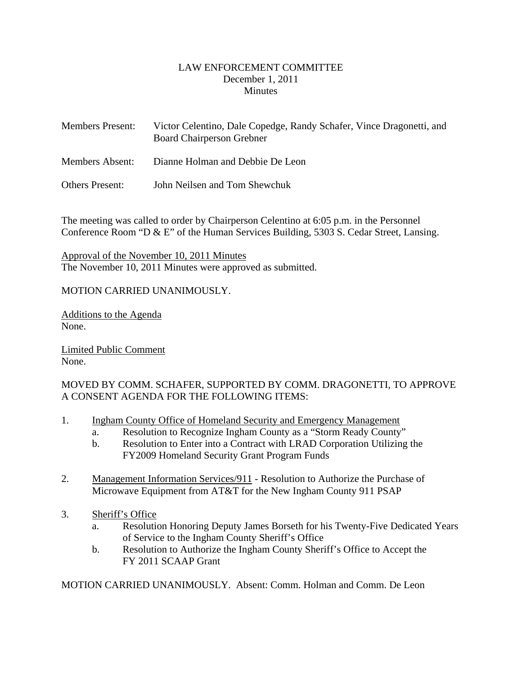### LAW ENFORCEMENT COMMITTEE December 1, 2011 **Minutes**

<span id="page-1-0"></span>

| <b>Members Present:</b> | Victor Celentino, Dale Copedge, Randy Schafer, Vince Dragonetti, and<br><b>Board Chairperson Grebner</b> |
|-------------------------|----------------------------------------------------------------------------------------------------------|
| Members Absent:         | Dianne Holman and Debbie De Leon                                                                         |
| <b>Others Present:</b>  | John Neilsen and Tom Shewchuk                                                                            |

The meeting was called to order by Chairperson Celentino at 6:05 p.m. in the Personnel Conference Room "D & E" of the Human Services Building, 5303 S. Cedar Street, Lansing.

Approval of the November 10, 2011 Minutes The November 10, 2011 Minutes were approved as submitted.

# MOTION CARRIED UNANIMOUSLY.

Additions to the Agenda None.

Limited Public Comment None.

# MOVED BY COMM. SCHAFER, SUPPORTED BY COMM. DRAGONETTI, TO APPROVE A CONSENT AGENDA FOR THE FOLLOWING ITEMS:

- 1. Ingham County Office of Homeland Security and Emergency Management
	- a. Resolution to Recognize Ingham County as a "Storm Ready County"
	- b. Resolution to Enter into a Contract with LRAD Corporation Utilizing the FY2009 Homeland Security Grant Program Funds
- 2. Management Information Services/911 Resolution to Authorize the Purchase of Microwave Equipment from AT&T for the New Ingham County 911 PSAP
- 3. Sheriff's Office
	- a. Resolution Honoring Deputy James Borseth for his Twenty-Five Dedicated Years of Service to the Ingham County Sheriff's Office
	- b. Resolution to Authorize the Ingham County Sheriff's Office to Accept the FY 2011 SCAAP Grant

MOTION CARRIED UNANIMOUSLY. Absent: Comm. Holman and Comm. De Leon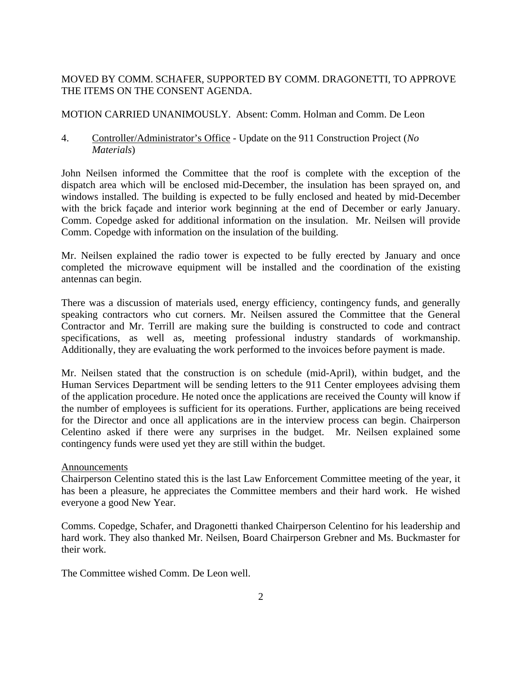# MOVED BY COMM. SCHAFER, SUPPORTED BY COMM. DRAGONETTI, TO APPROVE THE ITEMS ON THE CONSENT AGENDA.

### MOTION CARRIED UNANIMOUSLY. Absent: Comm. Holman and Comm. De Leon

4. Controller/Administrator's Office - Update on the 911 Construction Project (*No Materials*)

John Neilsen informed the Committee that the roof is complete with the exception of the dispatch area which will be enclosed mid-December, the insulation has been sprayed on, and windows installed. The building is expected to be fully enclosed and heated by mid-December with the brick façade and interior work beginning at the end of December or early January. Comm. Copedge asked for additional information on the insulation. Mr. Neilsen will provide Comm. Copedge with information on the insulation of the building.

Mr. Neilsen explained the radio tower is expected to be fully erected by January and once completed the microwave equipment will be installed and the coordination of the existing antennas can begin.

There was a discussion of materials used, energy efficiency, contingency funds, and generally speaking contractors who cut corners. Mr. Neilsen assured the Committee that the General Contractor and Mr. Terrill are making sure the building is constructed to code and contract specifications, as well as, meeting professional industry standards of workmanship. Additionally, they are evaluating the work performed to the invoices before payment is made.

Mr. Neilsen stated that the construction is on schedule (mid-April), within budget, and the Human Services Department will be sending letters to the 911 Center employees advising them of the application procedure. He noted once the applications are received the County will know if the number of employees is sufficient for its operations. Further, applications are being received for the Director and once all applications are in the interview process can begin. Chairperson Celentino asked if there were any surprises in the budget. Mr. Neilsen explained some contingency funds were used yet they are still within the budget.

### Announcements

Chairperson Celentino stated this is the last Law Enforcement Committee meeting of the year, it has been a pleasure, he appreciates the Committee members and their hard work. He wished everyone a good New Year.

Comms. Copedge, Schafer, and Dragonetti thanked Chairperson Celentino for his leadership and hard work. They also thanked Mr. Neilsen, Board Chairperson Grebner and Ms. Buckmaster for their work.

The Committee wished Comm. De Leon well.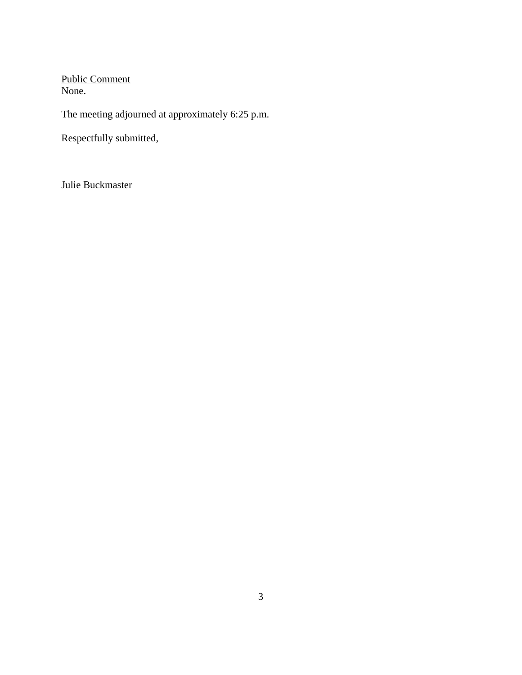Public Comment None.

The meeting adjourned at approximately 6:25 p.m.

Respectfully submitted,

Julie Buckmaster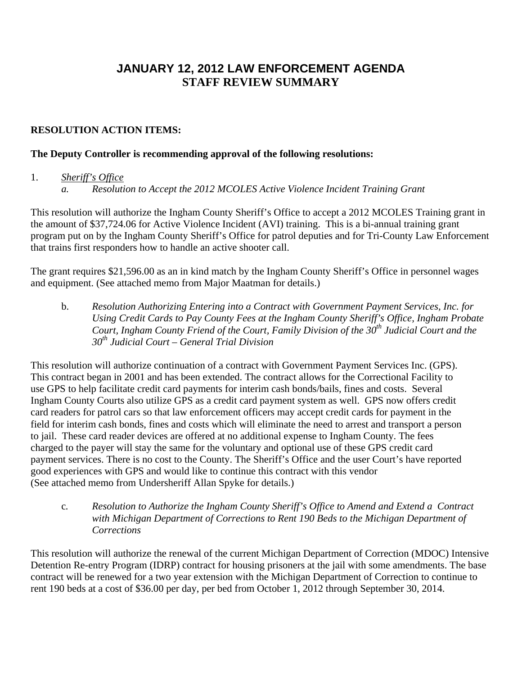# **JANUARY 12, 2012 LAW ENFORCEMENT AGENDA STAFF REVIEW SUMMARY**

# **RESOLUTION ACTION ITEMS:**

### **The Deputy Controller is recommending approval of the following resolutions:**

### 1. *Sheriff's Office*

*a. Resolution to Accept the 2012 MCOLES Active Violence Incident Training Grant* 

This resolution will authorize the Ingham County Sheriff's Office to accept a 2012 MCOLES Training grant in the amount of \$37,724.06 for Active Violence Incident (AVI) training. This is a bi-annual training grant program put on by the Ingham County Sheriff's Office for patrol deputies and for Tri-County Law Enforcement that trains first responders how to handle an active shooter call.

The grant requires \$21,596.00 as an in kind match by the Ingham County Sheriff's Office in personnel wages and equipment. (See attached memo from Major Maatman for details.)

b. *Resolution Authorizing Entering into a Contract with Government Payment Services, Inc. for Using Credit Cards to Pay County Fees at the Ingham County Sheriff's Office, Ingham Probate*  Court, Ingham County Friend of the Court, Family Division of the  $30<sup>th</sup>$  Judicial Court and the *30th Judicial Court – General Trial Division* 

This resolution will authorize continuation of a contract with Government Payment Services Inc. (GPS). This contract began in 2001 and has been extended. The contract allows for the Correctional Facility to use GPS to help facilitate credit card payments for interim cash bonds/bails, fines and costs. Several Ingham County Courts also utilize GPS as a credit card payment system as well. GPS now offers credit card readers for patrol cars so that law enforcement officers may accept credit cards for payment in the field for interim cash bonds, fines and costs which will eliminate the need to arrest and transport a person to jail. These card reader devices are offered at no additional expense to Ingham County. The fees charged to the payer will stay the same for the voluntary and optional use of these GPS credit card payment services. There is no cost to the County. The Sheriff's Office and the user Court's have reported good experiences with GPS and would like to continue this contract with this vendor (See attached memo from Undersheriff Allan Spyke for details.)

c*. Resolution to Authorize the Ingham County Sheriff's Office to Amend and Extend a Contract with Michigan Department of Corrections to Rent 190 Beds to the Michigan Department of Corrections* 

This resolution will authorize the renewal of the current Michigan Department of Correction (MDOC) Intensive Detention Re-entry Program (IDRP) contract for housing prisoners at the jail with some amendments. The base contract will be renewed for a two year extension with the Michigan Department of Correction to continue to rent 190 beds at a cost of \$36.00 per day, per bed from October 1, 2012 through September 30, 2014.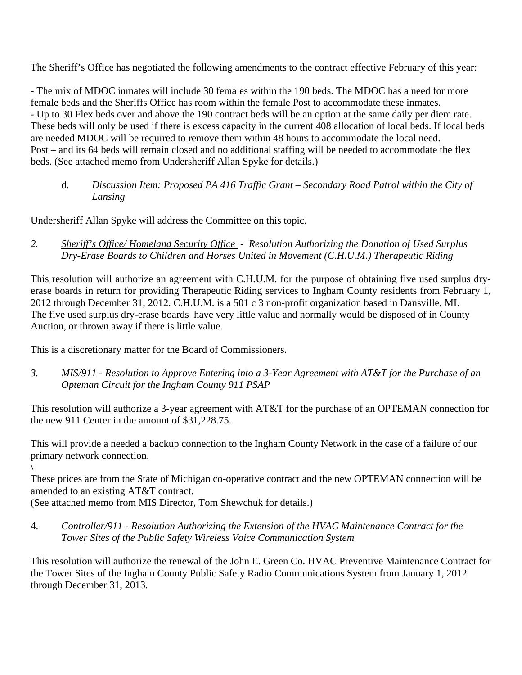The Sheriff's Office has negotiated the following amendments to the contract effective February of this year:

- The mix of MDOC inmates will include 30 females within the 190 beds. The MDOC has a need for more female beds and the Sheriffs Office has room within the female Post to accommodate these inmates. - Up to 30 Flex beds over and above the 190 contract beds will be an option at the same daily per diem rate. These beds will only be used if there is excess capacity in the current 408 allocation of local beds. If local beds are needed MDOC will be required to remove them within 48 hours to accommodate the local need. Post – and its 64 beds will remain closed and no additional staffing will be needed to accommodate the flex beds. (See attached memo from Undersheriff Allan Spyke for details.)

# d. *Discussion Item: Proposed PA 416 Traffic Grant – Secondary Road Patrol within the City of Lansing*

Undersheriff Allan Spyke will address the Committee on this topic.

*2. Sheriff's Office/ Homeland Security Office - Resolution Authorizing the Donation of Used Surplus Dry-Erase Boards to Children and Horses United in Movement (C.H.U.M.) Therapeutic Riding* 

This resolution will authorize an agreement with C.H.U.M. for the purpose of obtaining five used surplus dryerase boards in return for providing Therapeutic Riding services to Ingham County residents from February 1, 2012 through December 31, 2012. C.H.U.M. is a 501 c 3 non-profit organization based in Dansville, MI. The five used surplus dry-erase boards have very little value and normally would be disposed of in County Auction, or thrown away if there is little value.

This is a discretionary matter for the Board of Commissioners.

*3. MIS/911 - Resolution to Approve Entering into a 3-Year Agreement with AT&T for the Purchase of an Opteman Circuit for the Ingham County 911 PSAP* 

This resolution will authorize a 3-year agreement with AT&T for the purchase of an OPTEMAN connection for the new 911 Center in the amount of \$31,228.75.

This will provide a needed a backup connection to the Ingham County Network in the case of a failure of our primary network connection.

 $\setminus$ 

These prices are from the State of Michigan co-operative contract and the new OPTEMAN connection will be amended to an existing AT&T contract.

(See attached memo from MIS Director, Tom Shewchuk for details.)

4. *Controller/911 - Resolution Authorizing the Extension of the HVAC Maintenance Contract for the Tower Sites of the Public Safety Wireless Voice Communication System* 

This resolution will authorize the renewal of the John E. Green Co. HVAC Preventive Maintenance Contract for the Tower Sites of the Ingham County Public Safety Radio Communications System from January 1, 2012 through December 31, 2013.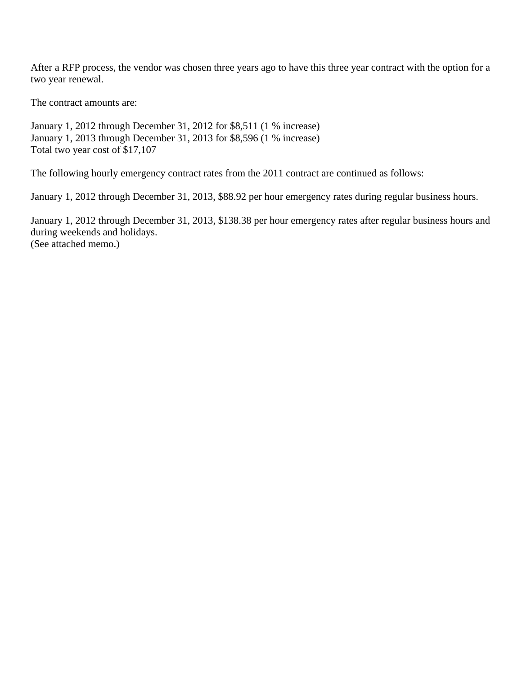After a RFP process, the vendor was chosen three years ago to have this three year contract with the option for a two year renewal.

The contract amounts are:

January 1, 2012 through December 31, 2012 for \$8,511 (1 % increase) January 1, 2013 through December 31, 2013 for \$8,596 (1 % increase) Total two year cost of \$17,107

The following hourly emergency contract rates from the 2011 contract are continued as follows:

January 1, 2012 through December 31, 2013, \$88.92 per hour emergency rates during regular business hours.

January 1, 2012 through December 31, 2013, \$138.38 per hour emergency rates after regular business hours and during weekends and holidays. (See attached memo.)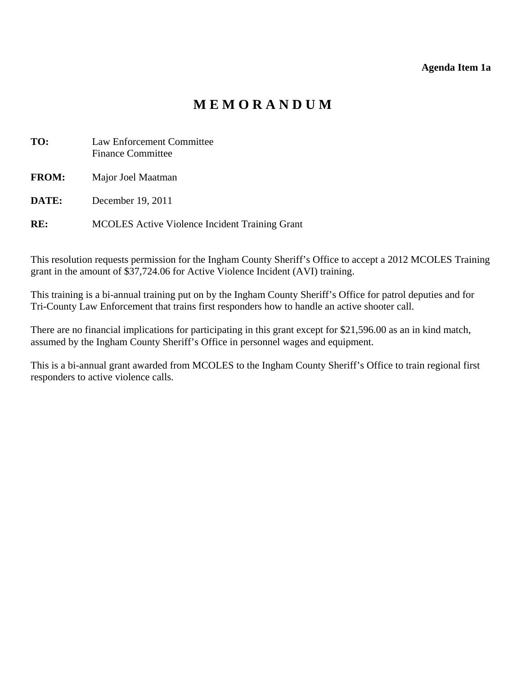#### **Agenda Item 1a**

# **M E M O R A N D U M**

<span id="page-7-0"></span>

| TO:          | Law Enforcement Committee<br><b>Finance Committee</b> |
|--------------|-------------------------------------------------------|
| <b>FROM:</b> | Major Joel Maatman                                    |
| DATE:        | December 19, 2011                                     |
| RE:          | <b>MCOLES</b> Active Violence Incident Training Grant |

This resolution requests permission for the Ingham County Sheriff's Office to accept a 2012 MCOLES Training grant in the amount of \$37,724.06 for Active Violence Incident (AVI) training.

This training is a bi-annual training put on by the Ingham County Sheriff's Office for patrol deputies and for Tri-County Law Enforcement that trains first responders how to handle an active shooter call.

There are no financial implications for participating in this grant except for \$21,596.00 as an in kind match, assumed by the Ingham County Sheriff's Office in personnel wages and equipment.

This is a bi-annual grant awarded from MCOLES to the Ingham County Sheriff's Office to train regional first responders to active violence calls.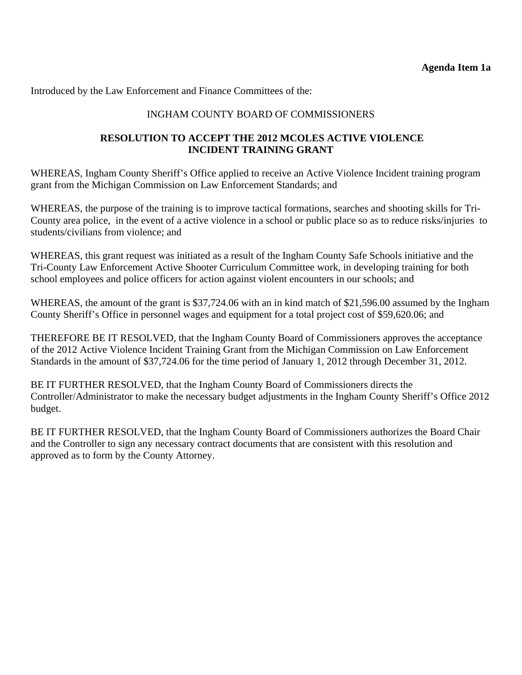# INGHAM COUNTY BOARD OF COMMISSIONERS

# **RESOLUTION TO ACCEPT THE 2012 MCOLES ACTIVE VIOLENCE INCIDENT TRAINING GRANT**

WHEREAS, Ingham County Sheriff's Office applied to receive an Active Violence Incident training program grant from the Michigan Commission on Law Enforcement Standards; and

WHEREAS, the purpose of the training is to improve tactical formations, searches and shooting skills for Tri-County area police, in the event of a active violence in a school or public place so as to reduce risks/injuries to students/civilians from violence; and

WHEREAS, this grant request was initiated as a result of the Ingham County Safe Schools initiative and the Tri-County Law Enforcement Active Shooter Curriculum Committee work, in developing training for both school employees and police officers for action against violent encounters in our schools; and

WHEREAS, the amount of the grant is \$37,724.06 with an in kind match of \$21,596.00 assumed by the Ingham County Sheriff's Office in personnel wages and equipment for a total project cost of \$59,620.06; and

THEREFORE BE IT RESOLVED, that the Ingham County Board of Commissioners approves the acceptance of the 2012 Active Violence Incident Training Grant from the Michigan Commission on Law Enforcement Standards in the amount of \$37,724.06 for the time period of January 1, 2012 through December 31, 2012.

BE IT FURTHER RESOLVED, that the Ingham County Board of Commissioners directs the Controller/Administrator to make the necessary budget adjustments in the Ingham County Sheriff's Office 2012 budget.

BE IT FURTHER RESOLVED, that the Ingham County Board of Commissioners authorizes the Board Chair and the Controller to sign any necessary contract documents that are consistent with this resolution and approved as to form by the County Attorney.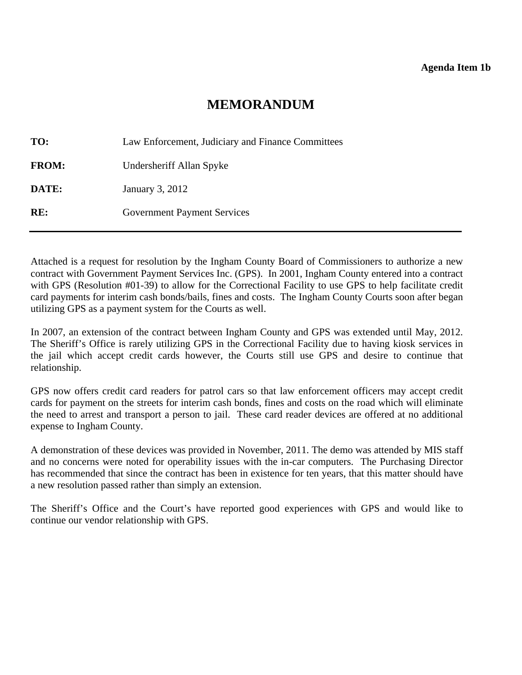#### **Agenda Item 1b**

# **MEMORANDUM**

<span id="page-9-0"></span>

| TO:          | Law Enforcement, Judiciary and Finance Committees |
|--------------|---------------------------------------------------|
| <b>FROM:</b> | Undersheriff Allan Spyke                          |
| DATE:        | January 3, 2012                                   |
| RE:          | <b>Government Payment Services</b>                |

Attached is a request for resolution by the Ingham County Board of Commissioners to authorize a new contract with Government Payment Services Inc. (GPS). In 2001, Ingham County entered into a contract with GPS (Resolution #01-39) to allow for the Correctional Facility to use GPS to help facilitate credit card payments for interim cash bonds/bails, fines and costs. The Ingham County Courts soon after began utilizing GPS as a payment system for the Courts as well.

In 2007, an extension of the contract between Ingham County and GPS was extended until May, 2012. The Sheriff's Office is rarely utilizing GPS in the Correctional Facility due to having kiosk services in the jail which accept credit cards however, the Courts still use GPS and desire to continue that relationship.

GPS now offers credit card readers for patrol cars so that law enforcement officers may accept credit cards for payment on the streets for interim cash bonds, fines and costs on the road which will eliminate the need to arrest and transport a person to jail. These card reader devices are offered at no additional expense to Ingham County.

A demonstration of these devices was provided in November, 2011. The demo was attended by MIS staff and no concerns were noted for operability issues with the in-car computers. The Purchasing Director has recommended that since the contract has been in existence for ten years, that this matter should have a new resolution passed rather than simply an extension.

The Sheriff's Office and the Court's have reported good experiences with GPS and would like to continue our vendor relationship with GPS.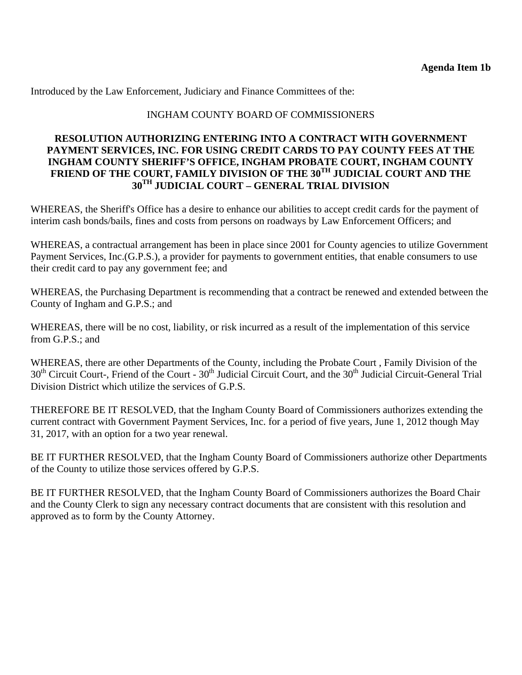# INGHAM COUNTY BOARD OF COMMISSIONERS

### **RESOLUTION AUTHORIZING ENTERING INTO A CONTRACT WITH GOVERNMENT PAYMENT SERVICES, INC. FOR USING CREDIT CARDS TO PAY COUNTY FEES AT THE INGHAM COUNTY SHERIFF'S OFFICE, INGHAM PROBATE COURT, INGHAM COUNTY**  FRIEND OF THE COURT, FAMILY DIVISION OF THE 30<sup>TH</sup> JUDICIAL COURT AND THE **30TH JUDICIAL COURT – GENERAL TRIAL DIVISION**

WHEREAS, the Sheriff's Office has a desire to enhance our abilities to accept credit cards for the payment of interim cash bonds/bails, fines and costs from persons on roadways by Law Enforcement Officers; and

WHEREAS, a contractual arrangement has been in place since 2001 for County agencies to utilize Government Payment Services, Inc.(G.P.S.), a provider for payments to government entities, that enable consumers to use their credit card to pay any government fee; and

WHEREAS, the Purchasing Department is recommending that a contract be renewed and extended between the County of Ingham and G.P.S.; and

WHEREAS, there will be no cost, liability, or risk incurred as a result of the implementation of this service from G.P.S.; and

WHEREAS, there are other Departments of the County, including the Probate Court , Family Division of the 30<sup>th</sup> Circuit Court-, Friend of the Court - 30<sup>th</sup> Judicial Circuit Court, and the 30<sup>th</sup> Judicial Circuit-General Trial Division District which utilize the services of G.P.S.

THEREFORE BE IT RESOLVED, that the Ingham County Board of Commissioners authorizes extending the current contract with Government Payment Services, Inc. for a period of five years, June 1, 2012 though May 31, 2017, with an option for a two year renewal.

BE IT FURTHER RESOLVED, that the Ingham County Board of Commissioners authorize other Departments of the County to utilize those services offered by G.P.S.

BE IT FURTHER RESOLVED, that the Ingham County Board of Commissioners authorizes the Board Chair and the County Clerk to sign any necessary contract documents that are consistent with this resolution and approved as to form by the County Attorney.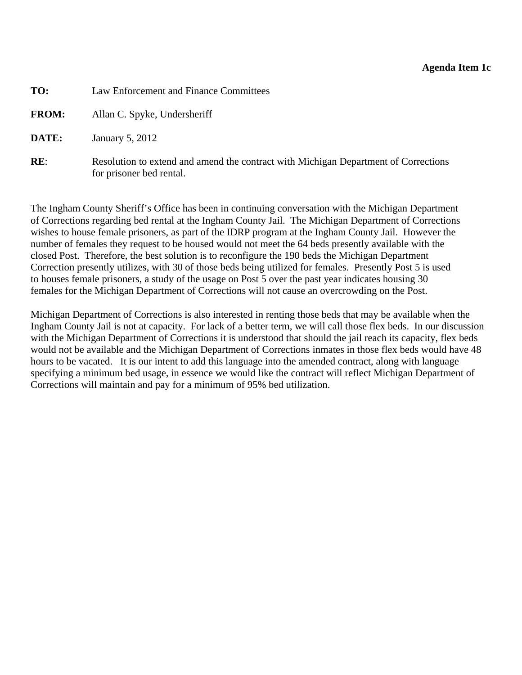#### **Agenda Item 1c**

<span id="page-11-0"></span>

| TO: | Law Enforcement and Finance Committees |
|-----|----------------------------------------|
|     |                                        |

FROM: Allan C. Spyke, Undersheriff

**DATE:** January 5, 2012

**RE:** Resolution to extend and amend the contract with Michigan Department of Corrections for prisoner bed rental.

The Ingham County Sheriff's Office has been in continuing conversation with the Michigan Department of Corrections regarding bed rental at the Ingham County Jail. The Michigan Department of Corrections wishes to house female prisoners, as part of the IDRP program at the Ingham County Jail. However the number of females they request to be housed would not meet the 64 beds presently available with the closed Post. Therefore, the best solution is to reconfigure the 190 beds the Michigan Department Correction presently utilizes, with 30 of those beds being utilized for females. Presently Post 5 is used to houses female prisoners, a study of the usage on Post 5 over the past year indicates housing 30 females for the Michigan Department of Corrections will not cause an overcrowding on the Post.

Michigan Department of Corrections is also interested in renting those beds that may be available when the Ingham County Jail is not at capacity. For lack of a better term, we will call those flex beds. In our discussion with the Michigan Department of Corrections it is understood that should the jail reach its capacity, flex beds would not be available and the Michigan Department of Corrections inmates in those flex beds would have 48 hours to be vacated. It is our intent to add this language into the amended contract, along with language specifying a minimum bed usage, in essence we would like the contract will reflect Michigan Department of Corrections will maintain and pay for a minimum of 95% bed utilization.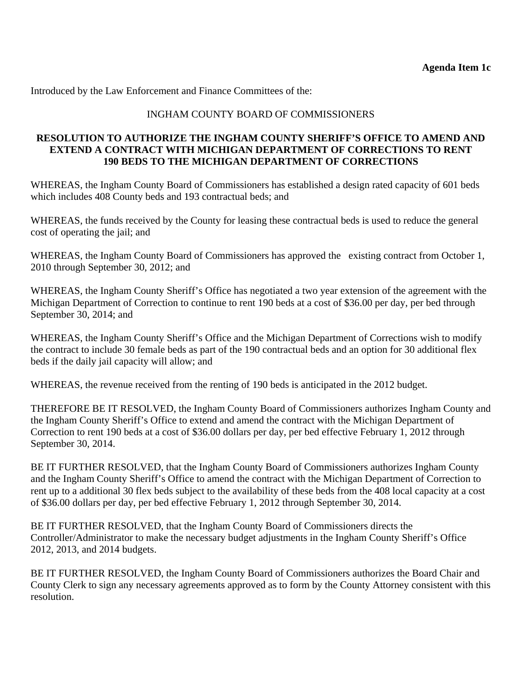# INGHAM COUNTY BOARD OF COMMISSIONERS

# **RESOLUTION TO AUTHORIZE THE INGHAM COUNTY SHERIFF'S OFFICE TO AMEND AND EXTEND A CONTRACT WITH MICHIGAN DEPARTMENT OF CORRECTIONS TO RENT 190 BEDS TO THE MICHIGAN DEPARTMENT OF CORRECTIONS**

WHEREAS, the Ingham County Board of Commissioners has established a design rated capacity of 601 beds which includes 408 County beds and 193 contractual beds; and

WHEREAS, the funds received by the County for leasing these contractual beds is used to reduce the general cost of operating the jail; and

WHEREAS, the Ingham County Board of Commissioners has approved the existing contract from October 1, 2010 through September 30, 2012; and

WHEREAS, the Ingham County Sheriff's Office has negotiated a two year extension of the agreement with the Michigan Department of Correction to continue to rent 190 beds at a cost of \$36.00 per day, per bed through September 30, 2014; and

WHEREAS, the Ingham County Sheriff's Office and the Michigan Department of Corrections wish to modify the contract to include 30 female beds as part of the 190 contractual beds and an option for 30 additional flex beds if the daily jail capacity will allow; and

WHEREAS, the revenue received from the renting of 190 beds is anticipated in the 2012 budget.

THEREFORE BE IT RESOLVED, the Ingham County Board of Commissioners authorizes Ingham County and the Ingham County Sheriff's Office to extend and amend the contract with the Michigan Department of Correction to rent 190 beds at a cost of \$36.00 dollars per day, per bed effective February 1, 2012 through September 30, 2014.

BE IT FURTHER RESOLVED, that the Ingham County Board of Commissioners authorizes Ingham County and the Ingham County Sheriff's Office to amend the contract with the Michigan Department of Correction to rent up to a additional 30 flex beds subject to the availability of these beds from the 408 local capacity at a cost of \$36.00 dollars per day, per bed effective February 1, 2012 through September 30, 2014.

BE IT FURTHER RESOLVED, that the Ingham County Board of Commissioners directs the Controller/Administrator to make the necessary budget adjustments in the Ingham County Sheriff's Office 2012, 2013, and 2014 budgets.

BE IT FURTHER RESOLVED, the Ingham County Board of Commissioners authorizes the Board Chair and County Clerk to sign any necessary agreements approved as to form by the County Attorney consistent with this resolution.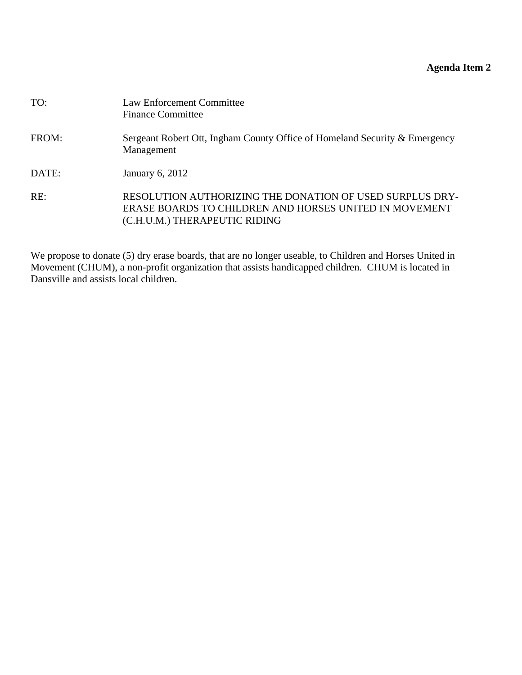# **Agenda Item 2**

<span id="page-13-0"></span>

| TO:   | Law Enforcement Committee<br><b>Finance Committee</b>                                                                                               |
|-------|-----------------------------------------------------------------------------------------------------------------------------------------------------|
| FROM: | Sergeant Robert Ott, Ingham County Office of Homeland Security & Emergency<br>Management                                                            |
| DATE: | January 6, 2012                                                                                                                                     |
| RE:   | RESOLUTION AUTHORIZING THE DONATION OF USED SURPLUS DRY-<br>ERASE BOARDS TO CHILDREN AND HORSES UNITED IN MOVEMENT<br>(C.H.U.M.) THERAPEUTIC RIDING |

We propose to donate (5) dry erase boards, that are no longer useable, to Children and Horses United in Movement (CHUM), a non-profit organization that assists handicapped children. CHUM is located in Dansville and assists local children.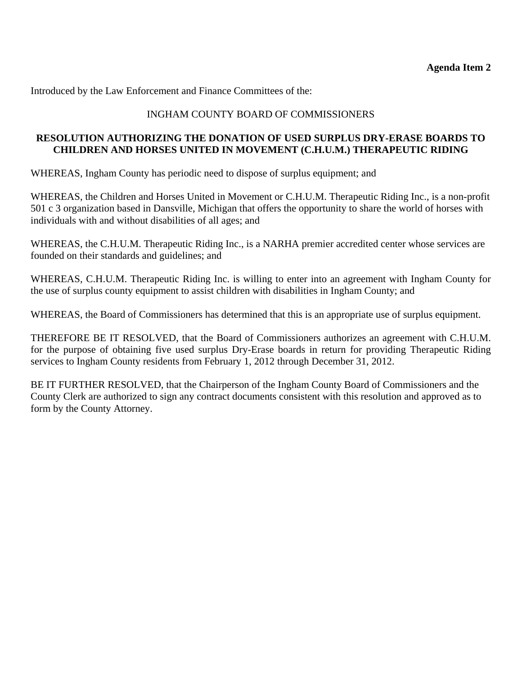# INGHAM COUNTY BOARD OF COMMISSIONERS

# **RESOLUTION AUTHORIZING THE DONATION OF USED SURPLUS DRY-ERASE BOARDS TO CHILDREN AND HORSES UNITED IN MOVEMENT (C.H.U.M.) THERAPEUTIC RIDING**

WHEREAS, Ingham County has periodic need to dispose of surplus equipment; and

WHEREAS, the Children and Horses United in Movement or C.H.U.M. Therapeutic Riding Inc., is a non-profit 501 c 3 organization based in Dansville, Michigan that offers the opportunity to share the world of horses with individuals with and without disabilities of all ages; and

WHEREAS, the C.H.U.M. Therapeutic Riding Inc., is a NARHA premier accredited center whose services are founded on their standards and guidelines; and

WHEREAS, C.H.U.M. Therapeutic Riding Inc. is willing to enter into an agreement with Ingham County for the use of surplus county equipment to assist children with disabilities in Ingham County; and

WHEREAS, the Board of Commissioners has determined that this is an appropriate use of surplus equipment.

THEREFORE BE IT RESOLVED, that the Board of Commissioners authorizes an agreement with C.H.U.M. for the purpose of obtaining five used surplus Dry-Erase boards in return for providing Therapeutic Riding services to Ingham County residents from February 1, 2012 through December 31, 2012.

BE IT FURTHER RESOLVED, that the Chairperson of the Ingham County Board of Commissioners and the County Clerk are authorized to sign any contract documents consistent with this resolution and approved as to form by the County Attorney.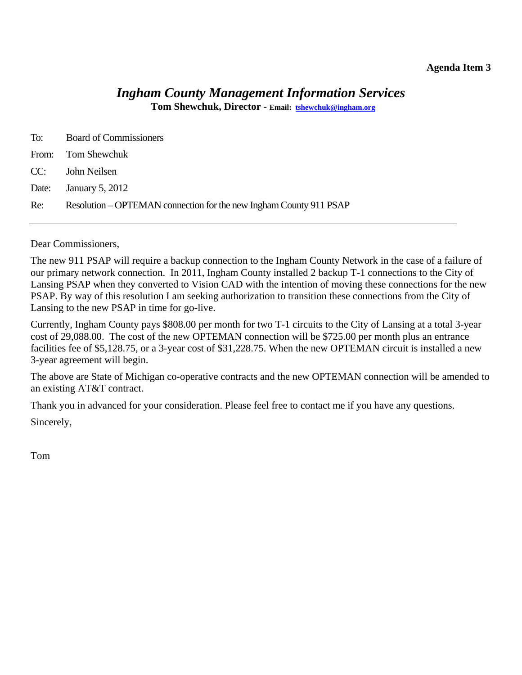### **Agenda Item 3**

# *Ingham County Management Information Services*

**Tom Shewchuk, Director - Email: tshewchuk@ingham.org**

<span id="page-15-0"></span>

|     | To: Board of Commissioners                                         |
|-----|--------------------------------------------------------------------|
|     | From: Tom Shewchuk                                                 |
|     | CC: John Neilsen                                                   |
|     | Date: January 5, 2012                                              |
| Re: | Resolution – OPTEMAN connection for the new Ingham County 911 PSAP |

Dear Commissioners,

The new 911 PSAP will require a backup connection to the Ingham County Network in the case of a failure of our primary network connection. In 2011, Ingham County installed 2 backup T-1 connections to the City of Lansing PSAP when they converted to Vision CAD with the intention of moving these connections for the new PSAP. By way of this resolution I am seeking authorization to transition these connections from the City of Lansing to the new PSAP in time for go-live.

Currently, Ingham County pays \$808.00 per month for two T-1 circuits to the City of Lansing at a total 3-year cost of 29,088.00. The cost of the new OPTEMAN connection will be \$725.00 per month plus an entrance facilities fee of \$5,128.75, or a 3-year cost of \$31,228.75. When the new OPTEMAN circuit is installed a new 3-year agreement will begin.

The above are State of Michigan co-operative contracts and the new OPTEMAN connection will be amended to an existing AT&T contract.

Thank you in advanced for your consideration. Please feel free to contact me if you have any questions. Sincerely,

Tom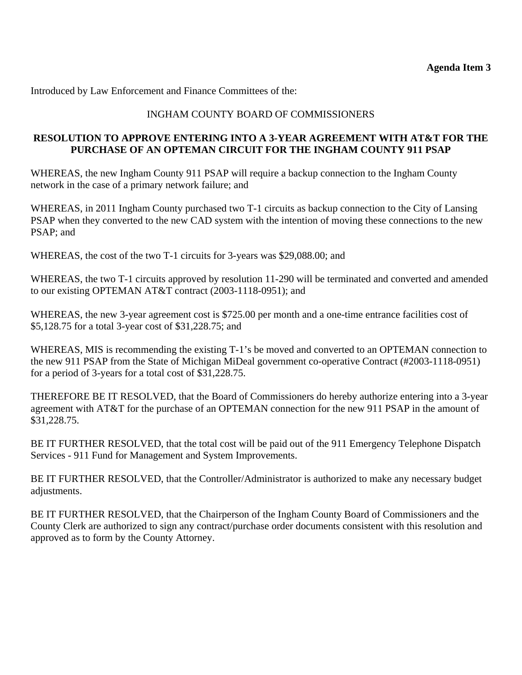# INGHAM COUNTY BOARD OF COMMISSIONERS

# **RESOLUTION TO APPROVE ENTERING INTO A 3-YEAR AGREEMENT WITH AT&T FOR THE PURCHASE OF AN OPTEMAN CIRCUIT FOR THE INGHAM COUNTY 911 PSAP**

WHEREAS, the new Ingham County 911 PSAP will require a backup connection to the Ingham County network in the case of a primary network failure; and

WHEREAS, in 2011 Ingham County purchased two T-1 circuits as backup connection to the City of Lansing PSAP when they converted to the new CAD system with the intention of moving these connections to the new PSAP; and

WHEREAS, the cost of the two T-1 circuits for 3-years was \$29,088.00; and

WHEREAS, the two T-1 circuits approved by resolution 11-290 will be terminated and converted and amended to our existing OPTEMAN AT&T contract (2003-1118-0951); and

WHEREAS, the new 3-year agreement cost is \$725.00 per month and a one-time entrance facilities cost of \$5,128.75 for a total 3-year cost of \$31,228.75; and

WHEREAS, MIS is recommending the existing T-1's be moved and converted to an OPTEMAN connection to the new 911 PSAP from the State of Michigan MiDeal government co-operative Contract (#2003-1118-0951) for a period of 3-years for a total cost of \$31,228.75.

THEREFORE BE IT RESOLVED, that the Board of Commissioners do hereby authorize entering into a 3-year agreement with AT&T for the purchase of an OPTEMAN connection for the new 911 PSAP in the amount of \$31,228.75.

BE IT FURTHER RESOLVED, that the total cost will be paid out of the 911 Emergency Telephone Dispatch Services - 911 Fund for Management and System Improvements.

BE IT FURTHER RESOLVED, that the Controller/Administrator is authorized to make any necessary budget adjustments.

BE IT FURTHER RESOLVED, that the Chairperson of the Ingham County Board of Commissioners and the County Clerk are authorized to sign any contract/purchase order documents consistent with this resolution and approved as to form by the County Attorney.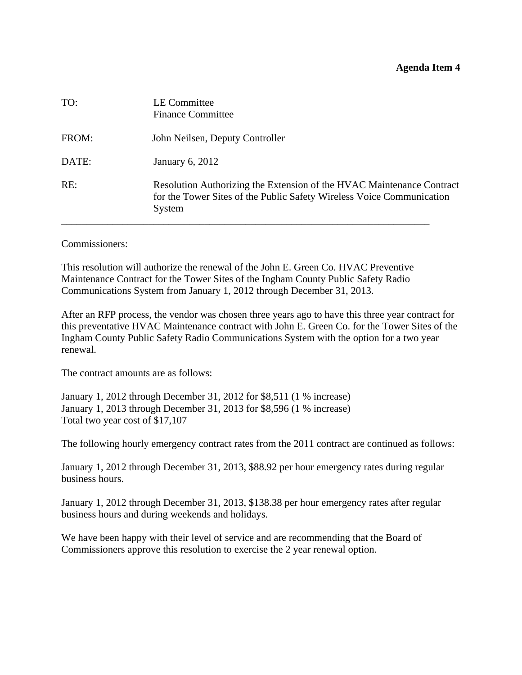<span id="page-17-0"></span>

| TO:   | LE Committee<br><b>Finance Committee</b>                                                                                                                 |
|-------|----------------------------------------------------------------------------------------------------------------------------------------------------------|
| FROM: | John Neilsen, Deputy Controller                                                                                                                          |
| DATE: | <b>January 6, 2012</b>                                                                                                                                   |
| RE:   | Resolution Authorizing the Extension of the HVAC Maintenance Contract<br>for the Tower Sites of the Public Safety Wireless Voice Communication<br>System |

Commissioners:

This resolution will authorize the renewal of the John E. Green Co. HVAC Preventive Maintenance Contract for the Tower Sites of the Ingham County Public Safety Radio Communications System from January 1, 2012 through December 31, 2013.

After an RFP process, the vendor was chosen three years ago to have this three year contract for this preventative HVAC Maintenance contract with John E. Green Co. for the Tower Sites of the Ingham County Public Safety Radio Communications System with the option for a two year renewal.

The contract amounts are as follows:

January 1, 2012 through December 31, 2012 for \$8,511 (1 % increase) January 1, 2013 through December 31, 2013 for \$8,596 (1 % increase) Total two year cost of \$17,107

The following hourly emergency contract rates from the 2011 contract are continued as follows:

January 1, 2012 through December 31, 2013, \$88.92 per hour emergency rates during regular business hours.

January 1, 2012 through December 31, 2013, \$138.38 per hour emergency rates after regular business hours and during weekends and holidays.

We have been happy with their level of service and are recommending that the Board of Commissioners approve this resolution to exercise the 2 year renewal option.